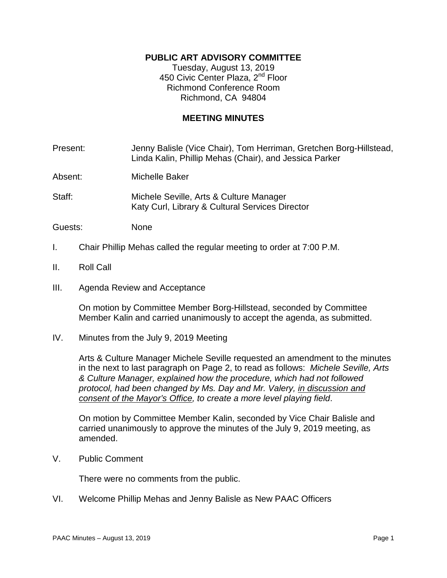## **PUBLIC ART ADVISORY COMMITTEE**

Tuesday, August 13, 2019 450 Civic Center Plaza, 2<sup>nd</sup> Floor Richmond Conference Room Richmond, CA 94804

### **MEETING MINUTES**

Present: Jenny Balisle (Vice Chair), Tom Herriman, Gretchen Borg-Hillstead, Linda Kalin, Phillip Mehas (Chair), and Jessica Parker

Absent: Michelle Baker

Staff: Michele Seville, Arts & Culture Manager Katy Curl, Library & Cultural Services Director

Guests: None

- I. Chair Phillip Mehas called the regular meeting to order at 7:00 P.M.
- II. Roll Call
- III. Agenda Review and Acceptance

On motion by Committee Member Borg-Hillstead, seconded by Committee Member Kalin and carried unanimously to accept the agenda, as submitted.

IV. Minutes from the July 9, 2019 Meeting

Arts & Culture Manager Michele Seville requested an amendment to the minutes in the next to last paragraph on Page 2, to read as follows: *Michele Seville, Arts & Culture Manager, explained how the procedure, which had not followed protocol, had been changed by Ms. Day and Mr. Valery, in discussion and consent of the Mayor's Office, to create a more level playing field*.

On motion by Committee Member Kalin, seconded by Vice Chair Balisle and carried unanimously to approve the minutes of the July 9, 2019 meeting, as amended.

V. Public Comment

There were no comments from the public.

VI. Welcome Phillip Mehas and Jenny Balisle as New PAAC Officers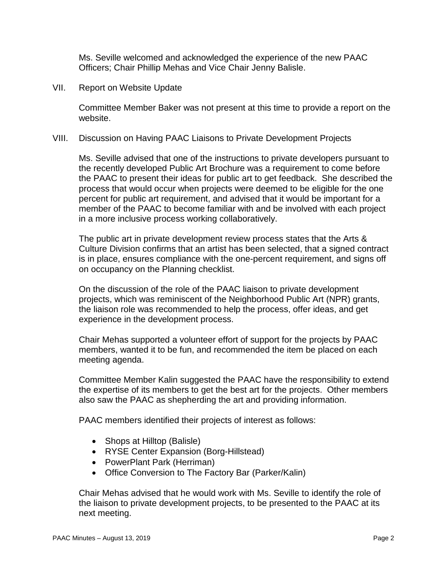Ms. Seville welcomed and acknowledged the experience of the new PAAC Officers; Chair Phillip Mehas and Vice Chair Jenny Balisle.

VII. Report on Website Update

Committee Member Baker was not present at this time to provide a report on the website.

#### VIII. Discussion on Having PAAC Liaisons to Private Development Projects

Ms. Seville advised that one of the instructions to private developers pursuant to the recently developed Public Art Brochure was a requirement to come before the PAAC to present their ideas for public art to get feedback. She described the process that would occur when projects were deemed to be eligible for the one percent for public art requirement, and advised that it would be important for a member of the PAAC to become familiar with and be involved with each project in a more inclusive process working collaboratively.

The public art in private development review process states that the Arts & Culture Division confirms that an artist has been selected, that a signed contract is in place, ensures compliance with the one-percent requirement, and signs off on occupancy on the Planning checklist.

On the discussion of the role of the PAAC liaison to private development projects, which was reminiscent of the Neighborhood Public Art (NPR) grants, the liaison role was recommended to help the process, offer ideas, and get experience in the development process.

Chair Mehas supported a volunteer effort of support for the projects by PAAC members, wanted it to be fun, and recommended the item be placed on each meeting agenda.

Committee Member Kalin suggested the PAAC have the responsibility to extend the expertise of its members to get the best art for the projects. Other members also saw the PAAC as shepherding the art and providing information.

PAAC members identified their projects of interest as follows:

- Shops at Hilltop (Balisle)
- RYSE Center Expansion (Borg-Hillstead)
- PowerPlant Park (Herriman)
- Office Conversion to The Factory Bar (Parker/Kalin)

Chair Mehas advised that he would work with Ms. Seville to identify the role of the liaison to private development projects, to be presented to the PAAC at its next meeting.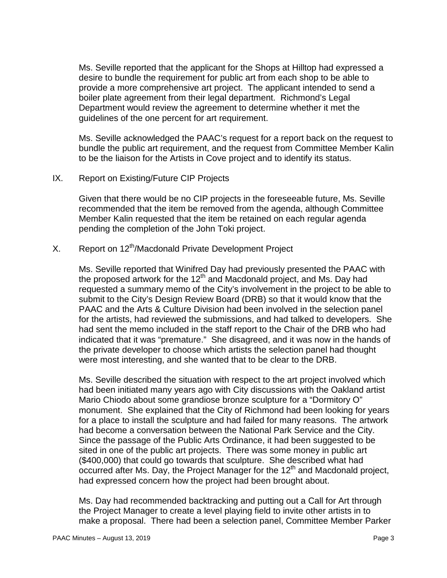Ms. Seville reported that the applicant for the Shops at Hilltop had expressed a desire to bundle the requirement for public art from each shop to be able to provide a more comprehensive art project. The applicant intended to send a boiler plate agreement from their legal department. Richmond's Legal Department would review the agreement to determine whether it met the guidelines of the one percent for art requirement.

Ms. Seville acknowledged the PAAC's request for a report back on the request to bundle the public art requirement, and the request from Committee Member Kalin to be the liaison for the Artists in Cove project and to identify its status.

#### IX. Report on Existing/Future CIP Projects

Given that there would be no CIP projects in the foreseeable future, Ms. Seville recommended that the item be removed from the agenda, although Committee Member Kalin requested that the item be retained on each regular agenda pending the completion of the John Toki project.

# X. Report on 12<sup>th</sup>/Macdonald Private Development Project

Ms. Seville reported that Winifred Day had previously presented the PAAC with the proposed artwork for the 12<sup>th</sup> and Macdonald project, and Ms. Day had requested a summary memo of the City's involvement in the project to be able to submit to the City's Design Review Board (DRB) so that it would know that the PAAC and the Arts & Culture Division had been involved in the selection panel for the artists, had reviewed the submissions, and had talked to developers. She had sent the memo included in the staff report to the Chair of the DRB who had indicated that it was "premature." She disagreed, and it was now in the hands of the private developer to choose which artists the selection panel had thought were most interesting, and she wanted that to be clear to the DRB.

Ms. Seville described the situation with respect to the art project involved which had been initiated many years ago with City discussions with the Oakland artist Mario Chiodo about some grandiose bronze sculpture for a "Dormitory O" monument. She explained that the City of Richmond had been looking for years for a place to install the sculpture and had failed for many reasons. The artwork had become a conversation between the National Park Service and the City. Since the passage of the Public Arts Ordinance, it had been suggested to be sited in one of the public art projects. There was some money in public art (\$400,000) that could go towards that sculpture. She described what had occurred after Ms. Day, the Project Manager for the  $12<sup>th</sup>$  and Macdonald project, had expressed concern how the project had been brought about.

Ms. Day had recommended backtracking and putting out a Call for Art through the Project Manager to create a level playing field to invite other artists in to make a proposal. There had been a selection panel, Committee Member Parker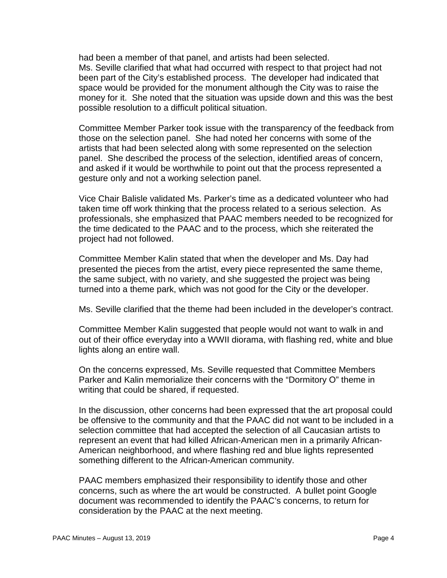had been a member of that panel, and artists had been selected. Ms. Seville clarified that what had occurred with respect to that project had not been part of the City's established process. The developer had indicated that space would be provided for the monument although the City was to raise the money for it. She noted that the situation was upside down and this was the best possible resolution to a difficult political situation.

Committee Member Parker took issue with the transparency of the feedback from those on the selection panel. She had noted her concerns with some of the artists that had been selected along with some represented on the selection panel. She described the process of the selection, identified areas of concern, and asked if it would be worthwhile to point out that the process represented a gesture only and not a working selection panel.

Vice Chair Balisle validated Ms. Parker's time as a dedicated volunteer who had taken time off work thinking that the process related to a serious selection. As professionals, she emphasized that PAAC members needed to be recognized for the time dedicated to the PAAC and to the process, which she reiterated the project had not followed.

Committee Member Kalin stated that when the developer and Ms. Day had presented the pieces from the artist, every piece represented the same theme, the same subject, with no variety, and she suggested the project was being turned into a theme park, which was not good for the City or the developer.

Ms. Seville clarified that the theme had been included in the developer's contract.

Committee Member Kalin suggested that people would not want to walk in and out of their office everyday into a WWII diorama, with flashing red, white and blue lights along an entire wall.

On the concerns expressed, Ms. Seville requested that Committee Members Parker and Kalin memorialize their concerns with the "Dormitory O" theme in writing that could be shared, if requested.

In the discussion, other concerns had been expressed that the art proposal could be offensive to the community and that the PAAC did not want to be included in a selection committee that had accepted the selection of all Caucasian artists to represent an event that had killed African-American men in a primarily African-American neighborhood, and where flashing red and blue lights represented something different to the African-American community.

PAAC members emphasized their responsibility to identify those and other concerns, such as where the art would be constructed. A bullet point Google document was recommended to identify the PAAC's concerns, to return for consideration by the PAAC at the next meeting.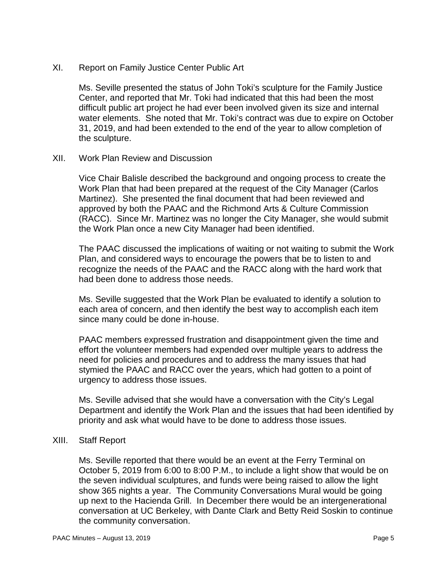XI. Report on Family Justice Center Public Art

Ms. Seville presented the status of John Toki's sculpture for the Family Justice Center, and reported that Mr. Toki had indicated that this had been the most difficult public art project he had ever been involved given its size and internal water elements. She noted that Mr. Toki's contract was due to expire on October 31, 2019, and had been extended to the end of the year to allow completion of the sculpture.

XII. Work Plan Review and Discussion

Vice Chair Balisle described the background and ongoing process to create the Work Plan that had been prepared at the request of the City Manager (Carlos Martinez). She presented the final document that had been reviewed and approved by both the PAAC and the Richmond Arts & Culture Commission (RACC). Since Mr. Martinez was no longer the City Manager, she would submit the Work Plan once a new City Manager had been identified.

The PAAC discussed the implications of waiting or not waiting to submit the Work Plan, and considered ways to encourage the powers that be to listen to and recognize the needs of the PAAC and the RACC along with the hard work that had been done to address those needs.

Ms. Seville suggested that the Work Plan be evaluated to identify a solution to each area of concern, and then identify the best way to accomplish each item since many could be done in-house.

PAAC members expressed frustration and disappointment given the time and effort the volunteer members had expended over multiple years to address the need for policies and procedures and to address the many issues that had stymied the PAAC and RACC over the years, which had gotten to a point of urgency to address those issues.

Ms. Seville advised that she would have a conversation with the City's Legal Department and identify the Work Plan and the issues that had been identified by priority and ask what would have to be done to address those issues.

#### XIII. Staff Report

Ms. Seville reported that there would be an event at the Ferry Terminal on October 5, 2019 from 6:00 to 8:00 P.M., to include a light show that would be on the seven individual sculptures, and funds were being raised to allow the light show 365 nights a year. The Community Conversations Mural would be going up next to the Hacienda Grill. In December there would be an intergenerational conversation at UC Berkeley, with Dante Clark and Betty Reid Soskin to continue the community conversation.